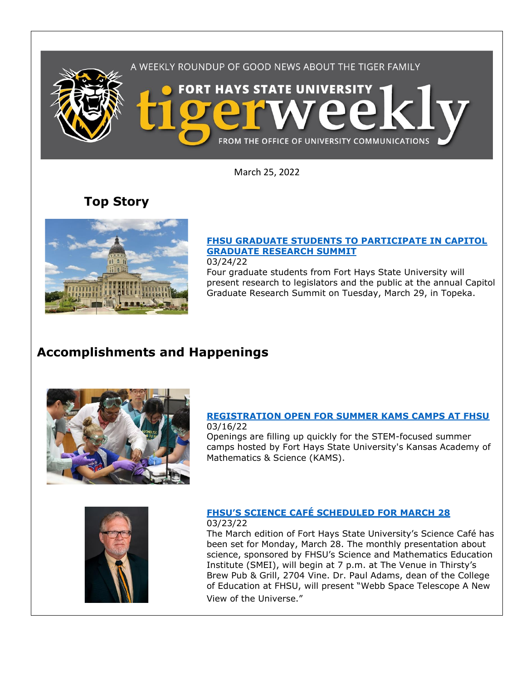

March 25, 2022

**Top Story**



### **[FHSU GRADUATE STUDENTS TO PARTICIPATE IN CAPITOL](https://www.fhsu.edu/news/2022/03/fhsu-graduate-students-to-participate-in-capitol-graduate-research-summit)  [GRADUATE RESEARCH SUMMIT](https://www.fhsu.edu/news/2022/03/fhsu-graduate-students-to-participate-in-capitol-graduate-research-summit)**

03/24/22

Four graduate students from Fort Hays State University will present research to legislators and the public at the annual Capitol Graduate Research Summit on Tuesday, March 29, in Topeka.

# **Accomplishments and Happenings**



#### **[REGISTRATION OPEN FOR SUMMER KAMS CAMPS AT FHSU](https://www.fhsu.edu/news/2022/03/registration-open-for-summer-kams-camps-at-fhsu)** 03/16/22

Openings are filling up quickly for the STEM-focused summer camps hosted by Fort Hays State University's Kansas Academy of Mathematics & Science (KAMS).



#### **[FHSU'S SCIENCE CAFÉ SCHEDULED FOR MARCH 28](https://www.fhsu.edu/news/2022/03/fhsus-science-cafe-scheduled-for-march-28)** 03/23/22

The March edition of Fort Hays State University's Science Café has been set for Monday, March 28. The monthly presentation about science, sponsored by FHSU's Science and Mathematics Education Institute (SMEI), will begin at 7 p.m. at The Venue in Thirsty's Brew Pub & Grill, 2704 Vine. Dr. Paul Adams, dean of the College of Education at FHSU, will present "Webb Space Telescope A New View of the Universe."